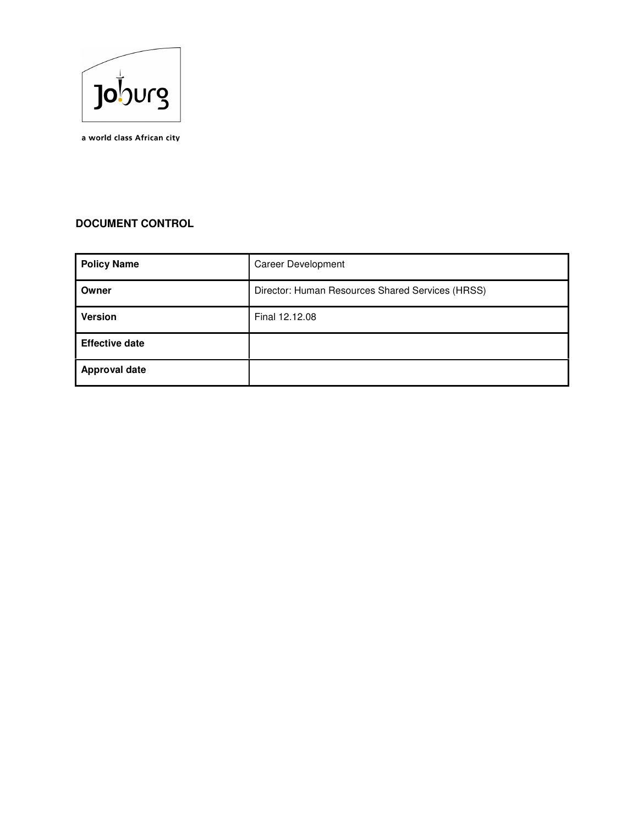

a world class African city

# **DOCUMENT CONTROL**

| <b>Policy Name</b>    | <b>Career Development</b>                        |
|-----------------------|--------------------------------------------------|
| Owner                 | Director: Human Resources Shared Services (HRSS) |
| <b>Version</b>        | Final 12.12.08                                   |
| <b>Effective date</b> |                                                  |
| <b>Approval date</b>  |                                                  |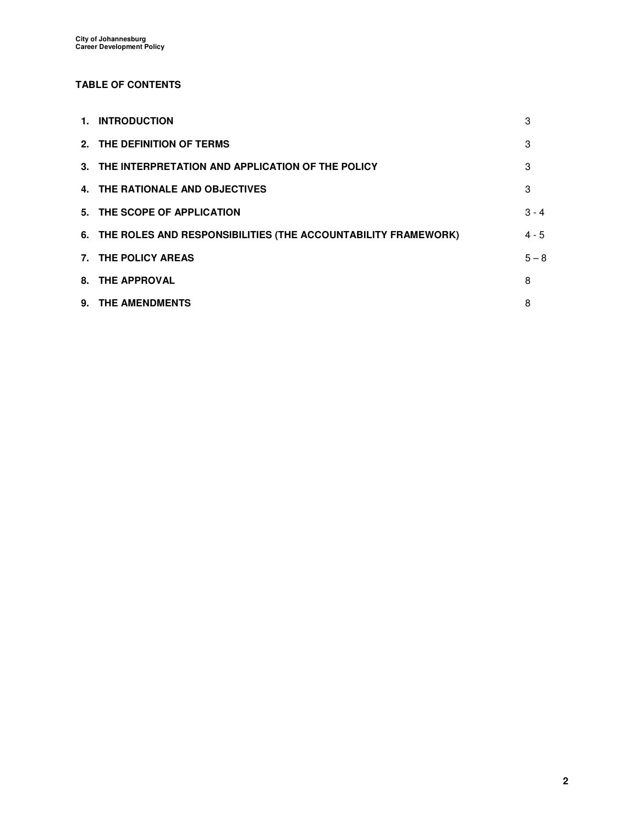# **TABLE OF CONTENTS**

| 1. INTRODUCTION                                                  | 3       |
|------------------------------------------------------------------|---------|
| 2. THE DEFINITION OF TERMS                                       | 3       |
| 3. THE INTERPRETATION AND APPLICATION OF THE POLICY              | 3       |
| 4. THE RATIONALE AND OBJECTIVES                                  | 3       |
| 5. THE SCOPE OF APPLICATION                                      | $3 - 4$ |
| 6. THE ROLES AND RESPONSIBILITIES (THE ACCOUNTABILITY FRAMEWORK) | $4 - 5$ |
| 7. THE POLICY AREAS                                              | $5 - 8$ |
| 8. THE APPROVAL                                                  | 8       |
| 9. THE AMENDMENTS                                                | 8       |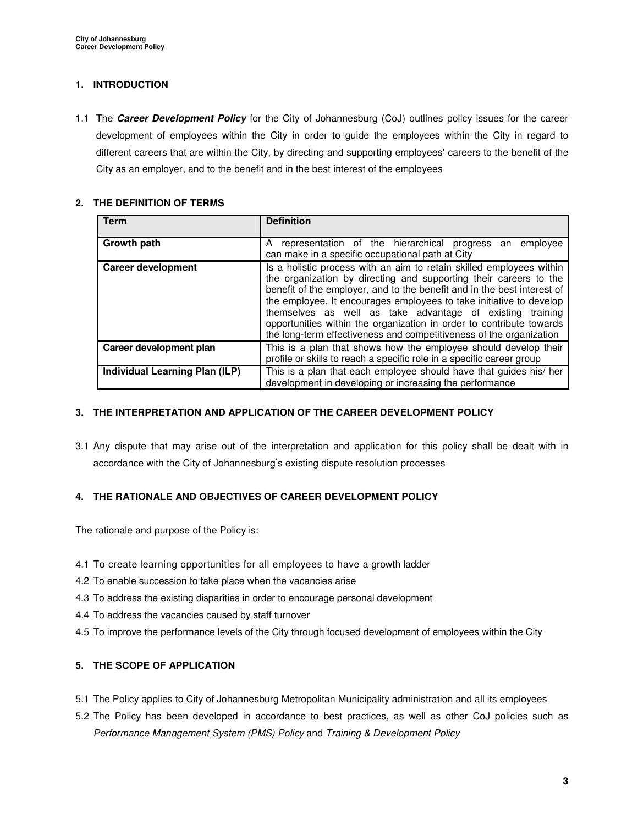## **1. INTRODUCTION**

1.1 The **Career Development Policy** for the City of Johannesburg (CoJ) outlines policy issues for the career development of employees within the City in order to guide the employees within the City in regard to different careers that are within the City, by directing and supporting employees' careers to the benefit of the City as an employer, and to the benefit and in the best interest of the employees

### **2. THE DEFINITION OF TERMS**

| <b>Term</b>                    | <b>Definition</b>                                                                                                                                                                                                                                                                                                                                                                                                                                                                                       |
|--------------------------------|---------------------------------------------------------------------------------------------------------------------------------------------------------------------------------------------------------------------------------------------------------------------------------------------------------------------------------------------------------------------------------------------------------------------------------------------------------------------------------------------------------|
| Growth path                    | representation of the hierarchical progress<br>employee<br>A<br>an<br>can make in a specific occupational path at City                                                                                                                                                                                                                                                                                                                                                                                  |
| <b>Career development</b>      | Is a holistic process with an aim to retain skilled employees within<br>the organization by directing and supporting their careers to the<br>benefit of the employer, and to the benefit and in the best interest of<br>the employee. It encourages employees to take initiative to develop<br>themselves as well as take advantage of existing training<br>opportunities within the organization in order to contribute towards<br>the long-term effectiveness and competitiveness of the organization |
| Career development plan        | This is a plan that shows how the employee should develop their<br>profile or skills to reach a specific role in a specific career group                                                                                                                                                                                                                                                                                                                                                                |
| Individual Learning Plan (ILP) | This is a plan that each employee should have that guides his/ her<br>development in developing or increasing the performance                                                                                                                                                                                                                                                                                                                                                                           |

## **3. THE INTERPRETATION AND APPLICATION OF THE CAREER DEVELOPMENT POLICY**

3.1 Any dispute that may arise out of the interpretation and application for this policy shall be dealt with in accordance with the City of Johannesburg's existing dispute resolution processes

# **4. THE RATIONALE AND OBJECTIVES OF CAREER DEVELOPMENT POLICY**

The rationale and purpose of the Policy is:

- 4.1 To create learning opportunities for all employees to have a growth ladder
- 4.2 To enable succession to take place when the vacancies arise
- 4.3 To address the existing disparities in order to encourage personal development
- 4.4 To address the vacancies caused by staff turnover
- 4.5 To improve the performance levels of the City through focused development of employees within the City

# **5. THE SCOPE OF APPLICATION**

- 5.1 The Policy applies to City of Johannesburg Metropolitan Municipality administration and all its employees
- 5.2 The Policy has been developed in accordance to best practices, as well as other CoJ policies such as Performance Management System (PMS) Policy and Training & Development Policy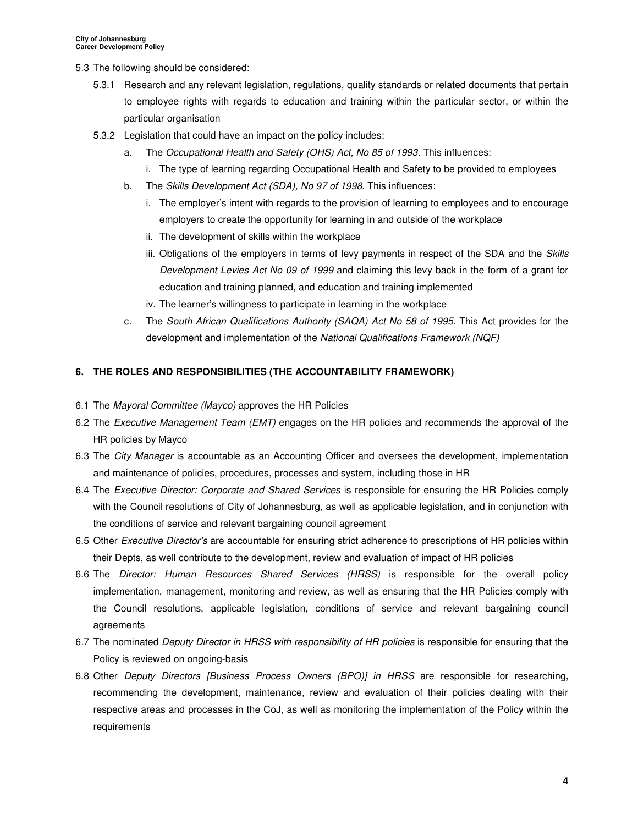- 5.3 The following should be considered:
	- 5.3.1 Research and any relevant legislation, regulations, quality standards or related documents that pertain to employee rights with regards to education and training within the particular sector, or within the particular organisation
	- 5.3.2 Legislation that could have an impact on the policy includes:
		- a. The Occupational Health and Safety (OHS) Act, No 85 of 1993. This influences:
			- i. The type of learning regarding Occupational Health and Safety to be provided to employees
		- b. The Skills Development Act (SDA), No 97 of 1998. This influences:
			- i. The employer's intent with regards to the provision of learning to employees and to encourage employers to create the opportunity for learning in and outside of the workplace
			- ii. The development of skills within the workplace
			- iii. Obligations of the employers in terms of levy payments in respect of the SDA and the Skills Development Levies Act No 09 of 1999 and claiming this levy back in the form of a grant for education and training planned, and education and training implemented
			- iv. The learner's willingness to participate in learning in the workplace
		- c. The South African Qualifications Authority (SAQA) Act No 58 of 1995. This Act provides for the development and implementation of the National Qualifications Framework (NQF)

#### **6. THE ROLES AND RESPONSIBILITIES (THE ACCOUNTABILITY FRAMEWORK)**

- 6.1 The Mayoral Committee (Mayco) approves the HR Policies
- 6.2 The Executive Management Team (EMT) engages on the HR policies and recommends the approval of the HR policies by Mayco
- 6.3 The City Manager is accountable as an Accounting Officer and oversees the development, implementation and maintenance of policies, procedures, processes and system, including those in HR
- 6.4 The Executive Director: Corporate and Shared Services is responsible for ensuring the HR Policies comply with the Council resolutions of City of Johannesburg, as well as applicable legislation, and in conjunction with the conditions of service and relevant bargaining council agreement
- 6.5 Other Executive Director's are accountable for ensuring strict adherence to prescriptions of HR policies within their Depts, as well contribute to the development, review and evaluation of impact of HR policies
- 6.6 The Director: Human Resources Shared Services (HRSS) is responsible for the overall policy implementation, management, monitoring and review, as well as ensuring that the HR Policies comply with the Council resolutions, applicable legislation, conditions of service and relevant bargaining council agreements
- 6.7 The nominated Deputy Director in HRSS with responsibility of HR policies is responsible for ensuring that the Policy is reviewed on ongoing-basis
- 6.8 Other Deputy Directors [Business Process Owners (BPO)] in HRSS are responsible for researching, recommending the development, maintenance, review and evaluation of their policies dealing with their respective areas and processes in the CoJ, as well as monitoring the implementation of the Policy within the requirements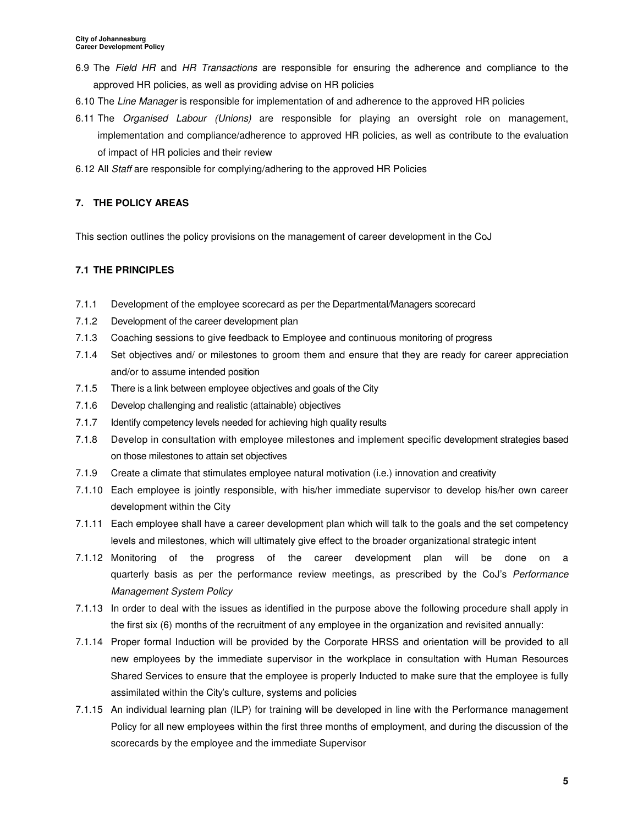- 6.9 The Field HR and HR Transactions are responsible for ensuring the adherence and compliance to the approved HR policies, as well as providing advise on HR policies
- 6.10 The Line Manager is responsible for implementation of and adherence to the approved HR policies
- 6.11 The Organised Labour (Unions) are responsible for playing an oversight role on management, implementation and compliance/adherence to approved HR policies, as well as contribute to the evaluation of impact of HR policies and their review
- 6.12 All Staff are responsible for complying/adhering to the approved HR Policies

# **7. THE POLICY AREAS**

This section outlines the policy provisions on the management of career development in the CoJ

# **7.1 THE PRINCIPLES**

- 7.1.1 Development of the employee scorecard as per the Departmental/Managers scorecard
- 7.1.2 Development of the career development plan
- 7.1.3 Coaching sessions to give feedback to Employee and continuous monitoring of progress
- 7.1.4 Set objectives and/ or milestones to groom them and ensure that they are ready for career appreciation and/or to assume intended position
- 7.1.5 There is a link between employee objectives and goals of the City
- 7.1.6 Develop challenging and realistic (attainable) objectives
- 7.1.7 Identify competency levels needed for achieving high quality results
- 7.1.8 Develop in consultation with employee milestones and implement specific development strategies based on those milestones to attain set objectives
- 7.1.9 Create a climate that stimulates employee natural motivation (i.e.) innovation and creativity
- 7.1.10 Each employee is jointly responsible, with his/her immediate supervisor to develop his/her own career development within the City
- 7.1.11 Each employee shall have a career development plan which will talk to the goals and the set competency levels and milestones, which will ultimately give effect to the broader organizational strategic intent
- 7.1.12 Monitoring of the progress of the career development plan will be done on a quarterly basis as per the performance review meetings, as prescribed by the CoJ's Performance Management System Policy
- 7.1.13 In order to deal with the issues as identified in the purpose above the following procedure shall apply in the first six (6) months of the recruitment of any employee in the organization and revisited annually:
- 7.1.14 Proper formal Induction will be provided by the Corporate HRSS and orientation will be provided to all new employees by the immediate supervisor in the workplace in consultation with Human Resources Shared Services to ensure that the employee is properly Inducted to make sure that the employee is fully assimilated within the City's culture, systems and policies
- 7.1.15 An individual learning plan (ILP) for training will be developed in line with the Performance management Policy for all new employees within the first three months of employment, and during the discussion of the scorecards by the employee and the immediate Supervisor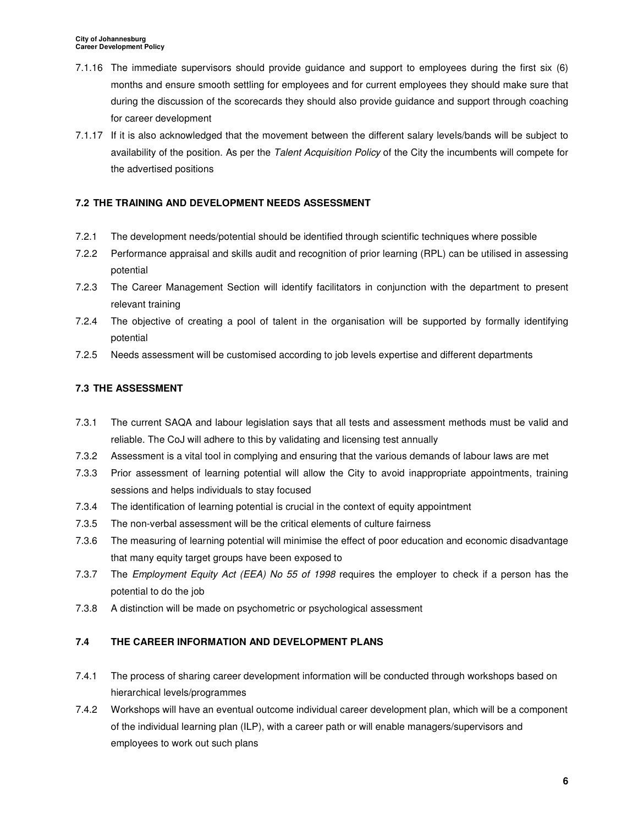- 7.1.16 The immediate supervisors should provide guidance and support to employees during the first six (6) months and ensure smooth settling for employees and for current employees they should make sure that during the discussion of the scorecards they should also provide guidance and support through coaching for career development
- 7.1.17 If it is also acknowledged that the movement between the different salary levels/bands will be subject to availability of the position. As per the Talent Acquisition Policy of the City the incumbents will compete for the advertised positions

# **7.2 THE TRAINING AND DEVELOPMENT NEEDS ASSESSMENT**

- 7.2.1 The development needs/potential should be identified through scientific techniques where possible
- 7.2.2 Performance appraisal and skills audit and recognition of prior learning (RPL) can be utilised in assessing potential
- 7.2.3 The Career Management Section will identify facilitators in conjunction with the department to present relevant training
- 7.2.4 The objective of creating a pool of talent in the organisation will be supported by formally identifying potential
- 7.2.5 Needs assessment will be customised according to job levels expertise and different departments

# **7.3 THE ASSESSMENT**

- 7.3.1 The current SAQA and labour legislation says that all tests and assessment methods must be valid and reliable. The CoJ will adhere to this by validating and licensing test annually
- 7.3.2 Assessment is a vital tool in complying and ensuring that the various demands of labour laws are met
- 7.3.3 Prior assessment of learning potential will allow the City to avoid inappropriate appointments, training sessions and helps individuals to stay focused
- 7.3.4 The identification of learning potential is crucial in the context of equity appointment
- 7.3.5 The non-verbal assessment will be the critical elements of culture fairness
- 7.3.6 The measuring of learning potential will minimise the effect of poor education and economic disadvantage that many equity target groups have been exposed to
- 7.3.7 The Employment Equity Act (EEA) No 55 of 1998 requires the employer to check if a person has the potential to do the job
- 7.3.8 A distinction will be made on psychometric or psychological assessment

# **7.4 THE CAREER INFORMATION AND DEVELOPMENT PLANS**

- 7.4.1 The process of sharing career development information will be conducted through workshops based on hierarchical levels/programmes
- 7.4.2 Workshops will have an eventual outcome individual career development plan, which will be a component of the individual learning plan (ILP), with a career path or will enable managers/supervisors and employees to work out such plans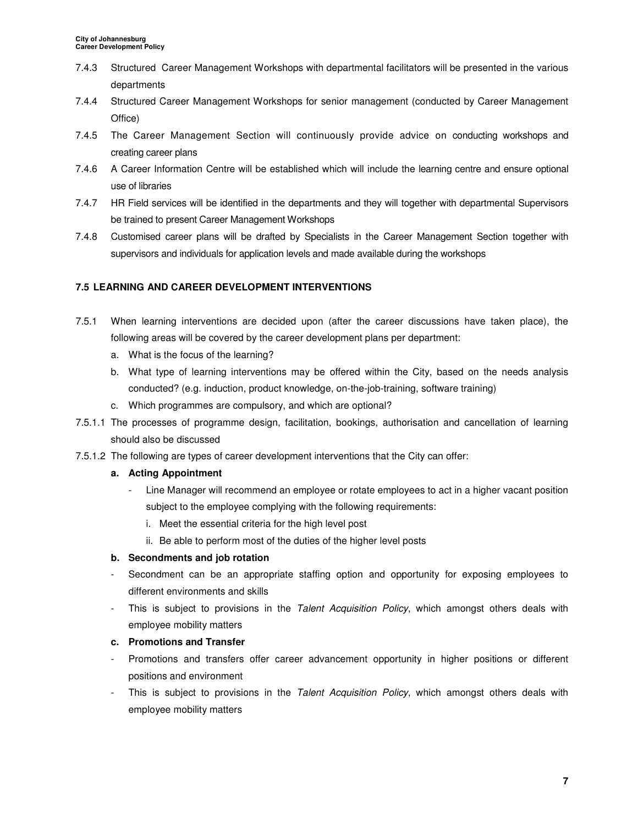- 7.4.3 Structured Career Management Workshops with departmental facilitators will be presented in the various departments
- 7.4.4 Structured Career Management Workshops for senior management (conducted by Career Management Office)
- 7.4.5 The Career Management Section will continuously provide advice on conducting workshops and creating career plans
- 7.4.6 A Career Information Centre will be established which will include the learning centre and ensure optional use of libraries
- 7.4.7 HR Field services will be identified in the departments and they will together with departmental Supervisors be trained to present Career Management Workshops
- 7.4.8 Customised career plans will be drafted by Specialists in the Career Management Section together with supervisors and individuals for application levels and made available during the workshops

## **7.5 LEARNING AND CAREER DEVELOPMENT INTERVENTIONS**

- 7.5.1 When learning interventions are decided upon (after the career discussions have taken place), the following areas will be covered by the career development plans per department:
	- a. What is the focus of the learning?
	- b. What type of learning interventions may be offered within the City, based on the needs analysis conducted? (e.g. induction, product knowledge, on-the-job-training, software training)
	- c. Which programmes are compulsory, and which are optional?
- 7.5.1.1 The processes of programme design, facilitation, bookings, authorisation and cancellation of learning should also be discussed
- 7.5.1.2 The following are types of career development interventions that the City can offer:

#### **a. Acting Appointment**

- Line Manager will recommend an employee or rotate employees to act in a higher vacant position subject to the employee complying with the following requirements:
	- i. Meet the essential criteria for the high level post
	- ii. Be able to perform most of the duties of the higher level posts

#### **b. Secondments and job rotation**

- Secondment can be an appropriate staffing option and opportunity for exposing employees to different environments and skills
- This is subject to provisions in the Talent Acquisition Policy, which amongst others deals with employee mobility matters

#### **c. Promotions and Transfer**

- Promotions and transfers offer career advancement opportunity in higher positions or different positions and environment
- This is subject to provisions in the Talent Acquisition Policy, which amongst others deals with employee mobility matters